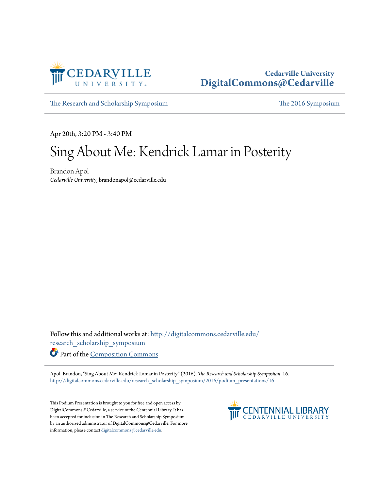

## **Cedarville University [DigitalCommons@Cedarville](http://digitalcommons.cedarville.edu?utm_source=digitalcommons.cedarville.edu%2Fresearch_scholarship_symposium%2F2016%2Fpodium_presentations%2F16&utm_medium=PDF&utm_campaign=PDFCoverPages)**

[The Research and Scholarship Symposium](http://digitalcommons.cedarville.edu/research_scholarship_symposium?utm_source=digitalcommons.cedarville.edu%2Fresearch_scholarship_symposium%2F2016%2Fpodium_presentations%2F16&utm_medium=PDF&utm_campaign=PDFCoverPages) [The 2016 Symposium](http://digitalcommons.cedarville.edu/research_scholarship_symposium/2016?utm_source=digitalcommons.cedarville.edu%2Fresearch_scholarship_symposium%2F2016%2Fpodium_presentations%2F16&utm_medium=PDF&utm_campaign=PDFCoverPages)

Apr 20th, 3:20 PM - 3:40 PM

## Sing About Me: Kendrick Lamar in Posterity

Brandon Apol *Cedarville University*, brandonapol@cedarville.edu

Follow this and additional works at: [http://digitalcommons.cedarville.edu/](http://digitalcommons.cedarville.edu/research_scholarship_symposium?utm_source=digitalcommons.cedarville.edu%2Fresearch_scholarship_symposium%2F2016%2Fpodium_presentations%2F16&utm_medium=PDF&utm_campaign=PDFCoverPages) [research\\_scholarship\\_symposium](http://digitalcommons.cedarville.edu/research_scholarship_symposium?utm_source=digitalcommons.cedarville.edu%2Fresearch_scholarship_symposium%2F2016%2Fpodium_presentations%2F16&utm_medium=PDF&utm_campaign=PDFCoverPages)

Part of the [Composition Commons](http://network.bepress.com/hgg/discipline/519?utm_source=digitalcommons.cedarville.edu%2Fresearch_scholarship_symposium%2F2016%2Fpodium_presentations%2F16&utm_medium=PDF&utm_campaign=PDFCoverPages)

Apol, Brandon, "Sing About Me: Kendrick Lamar in Posterity" (2016). *The Research and Scholarship Symposium*. 16. [http://digitalcommons.cedarville.edu/research\\_scholarship\\_symposium/2016/podium\\_presentations/16](http://digitalcommons.cedarville.edu/research_scholarship_symposium/2016/podium_presentations/16?utm_source=digitalcommons.cedarville.edu%2Fresearch_scholarship_symposium%2F2016%2Fpodium_presentations%2F16&utm_medium=PDF&utm_campaign=PDFCoverPages)

This Podium Presentation is brought to you for free and open access by DigitalCommons@Cedarville, a service of the Centennial Library. It has been accepted for inclusion in The Research and Scholarship Symposium by an authorized administrator of DigitalCommons@Cedarville. For more information, please contact [digitalcommons@cedarville.edu.](mailto:digitalcommons@cedarville.edu)

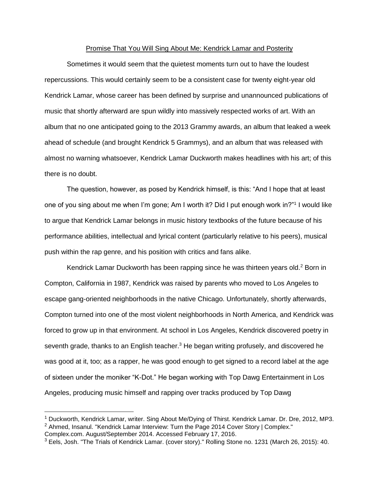## Promise That You Will Sing About Me: Kendrick Lamar and Posterity

Sometimes it would seem that the quietest moments turn out to have the loudest repercussions. This would certainly seem to be a consistent case for twenty eight-year old Kendrick Lamar, whose career has been defined by surprise and unannounced publications of music that shortly afterward are spun wildly into massively respected works of art. With an album that no one anticipated going to the 2013 Grammy awards, an album that leaked a week ahead of schedule (and brought Kendrick 5 Grammys), and an album that was released with almost no warning whatsoever, Kendrick Lamar Duckworth makes headlines with his art; of this there is no doubt.

The question, however, as posed by Kendrick himself, is this: "And I hope that at least one of you sing about me when I'm gone; Am I worth it? Did I put enough work in?"<sup>1</sup> I would like to argue that Kendrick Lamar belongs in music history textbooks of the future because of his performance abilities, intellectual and lyrical content (particularly relative to his peers), musical push within the rap genre, and his position with critics and fans alike.

Kendrick Lamar Duckworth has been rapping since he was thirteen years old.<sup>2</sup> Born in Compton, California in 1987, Kendrick was raised by parents who moved to Los Angeles to escape gang-oriented neighborhoods in the native Chicago. Unfortunately, shortly afterwards, Compton turned into one of the most violent neighborhoods in North America, and Kendrick was forced to grow up in that environment. At school in Los Angeles, Kendrick discovered poetry in seventh grade, thanks to an English teacher. $3$  He began writing profusely, and discovered he was good at it, too; as a rapper, he was good enough to get signed to a record label at the age of sixteen under the moniker "K-Dot." He began working with Top Dawg Entertainment in Los Angeles, producing music himself and rapping over tracks produced by Top Dawg

<sup>&</sup>lt;sup>1</sup> Duckworth, Kendrick Lamar, writer. Sing About Me/Dying of Thirst. Kendrick Lamar. Dr. Dre, 2012, MP3. <sup>2</sup> Ahmed, Insanul. "Kendrick Lamar Interview: Turn the Page 2014 Cover Story | Complex." Complex.com. August/September 2014. Accessed February 17, 2016.

<sup>&</sup>lt;sup>3</sup> Eels, Josh. "The Trials of Kendrick Lamar. (cover story)." Rolling Stone no. 1231 (March 26, 2015): 40.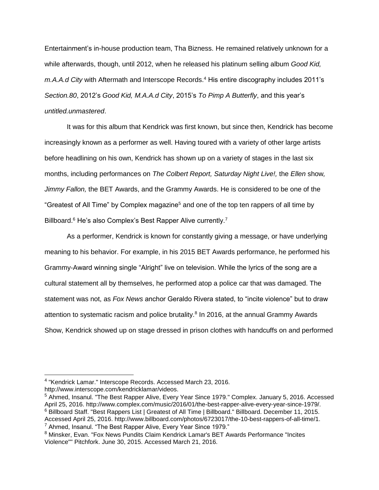Entertainment's in-house production team, Tha Bizness. He remained relatively unknown for a while afterwards, though, until 2012, when he released his platinum selling album *Good Kid, m.A.A.d City* with Aftermath and Interscope Records.<sup>4</sup> His entire discography includes 2011's *Section.80*, 2012's *Good Kid, M.A.A.d City*, 2015's *To Pimp A Butterfly*, and this year's *untitled.unmastered*.

It was for this album that Kendrick was first known, but since then, Kendrick has become increasingly known as a performer as well. Having toured with a variety of other large artists before headlining on his own, Kendrick has shown up on a variety of stages in the last six months, including performances on *The Colbert Report, Saturday Night Live!,* the *Ellen* show*, Jimmy Fallon,* the BET Awards, and the Grammy Awards. He is considered to be one of the "Greatest of All Time" by Complex magazine<sup>5</sup> and one of the top ten rappers of all time by Billboard.<sup>6</sup> He's also Complex's Best Rapper Alive currently.<sup>7</sup>

As a performer, Kendrick is known for constantly giving a message, or have underlying meaning to his behavior. For example, in his 2015 BET Awards performance, he performed his Grammy-Award winning single "Alright" live on television. While the lyrics of the song are a cultural statement all by themselves, he performed atop a police car that was damaged. The statement was not, as *Fox News* anchor Geraldo Rivera stated, to "incite violence" but to draw attention to systematic racism and police brutality.<sup>8</sup> In 2016, at the annual Grammy Awards Show, Kendrick showed up on stage dressed in prison clothes with handcuffs on and performed

<sup>4</sup> "Kendrick Lamar." Interscope Records. Accessed March 23, 2016.

http://www.interscope.com/kendricklamar/videos.

<sup>5</sup> Ahmed, Insanul. "The Best Rapper Alive, Every Year Since 1979." Complex. January 5, 2016. Accessed April 25, 2016. http://www.complex.com/music/2016/01/the-best-rapper-alive-every-year-since-1979/. <sup>6</sup> Billboard Staff. "Best Rappers List | Greatest of All Time | Billboard." Billboard. December 11, 2015. Accessed April 25, 2016. http://www.billboard.com/photos/6723017/the-10-best-rappers-of-all-time/1.

<sup>&</sup>lt;sup>7</sup> Ahmed, Insanul. "The Best Rapper Alive, Every Year Since 1979."

<sup>8</sup> Minsker, Evan. "Fox News Pundits Claim Kendrick Lamar's BET Awards Performance "Incites Violence"" Pitchfork. June 30, 2015. Accessed March 21, 2016.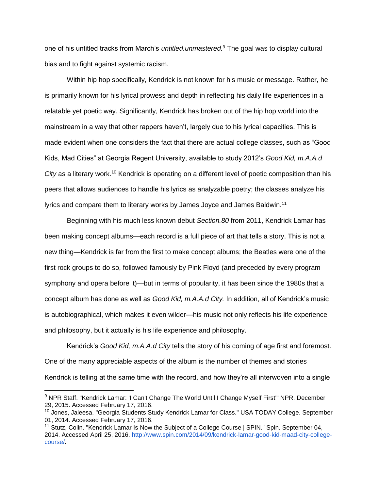one of his untitled tracks from March's *untitled.unmastered.*<sup>9</sup> The goal was to display cultural bias and to fight against systemic racism.

Within hip hop specifically, Kendrick is not known for his music or message. Rather, he is primarily known for his lyrical prowess and depth in reflecting his daily life experiences in a relatable yet poetic way. Significantly, Kendrick has broken out of the hip hop world into the mainstream in a way that other rappers haven't, largely due to his lyrical capacities. This is made evident when one considers the fact that there are actual college classes, such as "Good Kids, Mad Cities" at Georgia Regent University, available to study 2012's *Good Kid, m.A.A.d City* as a literary work.<sup>10</sup> Kendrick is operating on a different level of poetic composition than his peers that allows audiences to handle his lyrics as analyzable poetry; the classes analyze his lyrics and compare them to literary works by James Joyce and James Baldwin.<sup>11</sup>

Beginning with his much less known debut *Section.80* from 2011, Kendrick Lamar has been making concept albums—each record is a full piece of art that tells a story. This is not a new thing—Kendrick is far from the first to make concept albums; the Beatles were one of the first rock groups to do so, followed famously by Pink Floyd (and preceded by every program symphony and opera before it)—but in terms of popularity, it has been since the 1980s that a concept album has done as well as *Good Kid, m.A.A.d City.* In addition, all of Kendrick's music is autobiographical, which makes it even wilder—his music not only reflects his life experience and philosophy, but it actually is his life experience and philosophy.

Kendrick's *Good Kid, m.A.A.d City* tells the story of his coming of age first and foremost. One of the many appreciable aspects of the album is the number of themes and stories Kendrick is telling at the same time with the record, and how they're all interwoven into a single

<sup>&</sup>lt;sup>9</sup> NPR Staff. "Kendrick Lamar: 'I Can't Change The World Until I Change Myself First" NPR. December 29, 2015. Accessed February 17, 2016.

<sup>&</sup>lt;sup>10</sup> Jones, Jaleesa. "Georgia Students Study Kendrick Lamar for Class." USA TODAY College. September 01, 2014. Accessed February 17, 2016.

<sup>&</sup>lt;sup>11</sup> Stutz, Colin. "Kendrick Lamar Is Now the Subject of a College Course | SPIN." Spin. September 04, 2014. Accessed April 25, 2016. [http://www.spin.com/2014/09/kendrick-lamar-good-kid-maad-city-college](http://www.spin.com/2014/09/kendrick-lamar-good-kid-maad-city-college-course/)[course/.](http://www.spin.com/2014/09/kendrick-lamar-good-kid-maad-city-college-course/)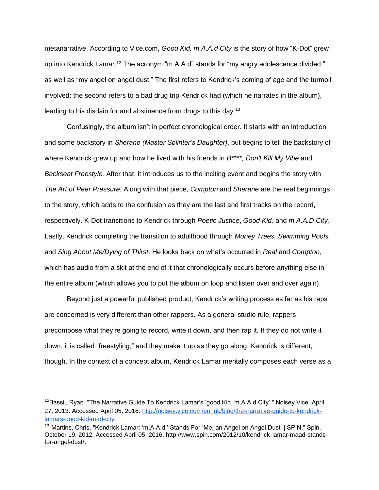metanarrative. According to Vice.com, *Good Kid, m.A.A.d City* is the story of how "K-Dot" grew up into Kendrick Lamar.<sup>12</sup> The acronym "m.A.A.d" stands for "my angry adolescence divided," as well as "my angel on angel dust." The first refers to Kendrick's coming of age and the turmoil involved; the second refers to a bad drug trip Kendrick had (which he narrates in the album), leading to his disdain for and abstinence from drugs to this day.<sup>13</sup>

Confusingly, the album isn't in perfect chronological order. It starts with an introduction and some backstory in *Sherane (Master Splinter's Daughter)*, but begins to tell the backstory of where Kendrick grew up and how he lived with his friends in *B\*\*\*\*, Don't Kill My Vibe* and *Backseat Freestyle.* After that, it introduces us to the inciting event and begins the story with *The Art of Peer Pressure.* Along with that piece, *Compton* and *Sherane* are the real beginnings to the story, which adds to the confusion as they are the last and first tracks on the record, respectively. K-Dot transitions to Kendrick through *Poetic Justice*, *Good Kid,* and *m.A.A.D City.*  Lastly, Kendrick completing the transition to adulthood through *Money Trees, Swimming Pools,*  and *Sing About Me/Dying of Thirst*. He looks back on what's occurred in *Real* and *Compton*, which has audio from a skit at the end of it that chronologically occurs before anything else in the entire album (which allows you to put the album on loop and listen over and over again).

Beyond just a powerful published product, Kendrick's writing process as far as his raps are concerned is very different than other rappers. As a general studio rule, rappers precompose what they're going to record, write it down, and then rap it. If they do not write it down, it is called "freestyling," and they make it up as they go along. Kendrick is different, though. In the context of a concept album, Kendrick Lamar mentally composes each verse as a

<sup>&</sup>lt;sup>12</sup>Bassil, Ryan. "The Narrative Guide To Kendrick Lamar's 'good Kid, m.A.A.d City'." Noisey. Vice. April 27, 2013. Accessed April 05, 2016. [http://noisey.vice.com/en\\_uk/blog/the-narrative-guide-to-kendrick](http://noisey.vice.com/en_uk/blog/the-narrative-guide-to-kendrick-lamars-good-kid-mad-city)[lamars-good-kid-mad-city.](http://noisey.vice.com/en_uk/blog/the-narrative-guide-to-kendrick-lamars-good-kid-mad-city)

<sup>&</sup>lt;sup>13</sup> Martins, Chris. "Kendrick Lamar: 'm.A.A.d.' Stands For 'Me, an Angel on Angel Dust' | SPIN." Spin. October 19, 2012. Accessed April 05, 2016. http://www.spin.com/2012/10/kendrick-lamar-maad-standsfor-angel-dust/.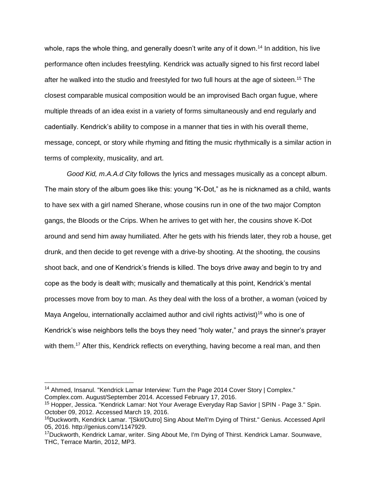whole, raps the whole thing, and generally doesn't write any of it down.<sup>14</sup> In addition, his live performance often includes freestyling. Kendrick was actually signed to his first record label after he walked into the studio and freestyled for two full hours at the age of sixteen.<sup>15</sup> The closest comparable musical composition would be an improvised Bach organ fugue, where multiple threads of an idea exist in a variety of forms simultaneously and end regularly and cadentially. Kendrick's ability to compose in a manner that ties in with his overall theme, message, concept, or story while rhyming and fitting the music rhythmically is a similar action in terms of complexity, musicality, and art.

*Good Kid, m.A.A.d City* follows the lyrics and messages musically as a concept album. The main story of the album goes like this: young "K-Dot," as he is nicknamed as a child, wants to have sex with a girl named Sherane, whose cousins run in one of the two major Compton gangs, the Bloods or the Crips. When he arrives to get with her, the cousins shove K-Dot around and send him away humiliated. After he gets with his friends later, they rob a house, get drunk, and then decide to get revenge with a drive-by shooting. At the shooting, the cousins shoot back, and one of Kendrick's friends is killed. The boys drive away and begin to try and cope as the body is dealt with; musically and thematically at this point, Kendrick's mental processes move from boy to man. As they deal with the loss of a brother, a woman (voiced by Maya Angelou, internationally acclaimed author and civil rights activist)<sup>16</sup> who is one of Kendrick's wise neighbors tells the boys they need "holy water," and prays the sinner's prayer with them.<sup>17</sup> After this, Kendrick reflects on everything, having become a real man, and then

<sup>&</sup>lt;sup>14</sup> Ahmed, Insanul. "Kendrick Lamar Interview: Turn the Page 2014 Cover Story | Complex." Complex.com. August/September 2014. Accessed February 17, 2016.

<sup>&</sup>lt;sup>15</sup> Hopper, Jessica. "Kendrick Lamar: Not Your Average Everyday Rap Savior | SPIN - Page 3." Spin. October 09, 2012. Accessed March 19, 2016.

<sup>&</sup>lt;sup>16</sup>Duckworth, Kendrick Lamar. "[Skit/Outro] Sing About Me/I'm Dying of Thirst." Genius. Accessed April 05, 2016. http://genius.com/1147929.

<sup>&</sup>lt;sup>17</sup>Duckworth, Kendrick Lamar, writer. Sing About Me, I'm Dying of Thirst. Kendrick Lamar. Sounwave, THC, Terrace Martin, 2012, MP3.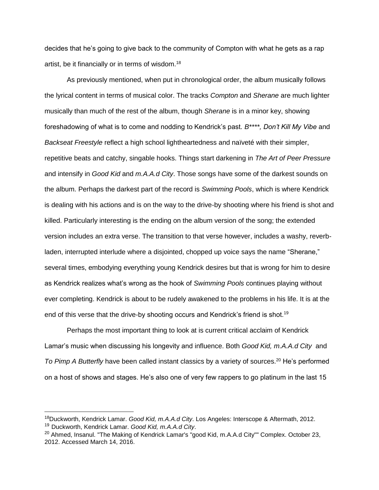decides that he's going to give back to the community of Compton with what he gets as a rap artist, be it financially or in terms of wisdom.<sup>18</sup>

As previously mentioned, when put in chronological order, the album musically follows the lyrical content in terms of musical color. The tracks *Compton* and *Sherane* are much lighter musically than much of the rest of the album, though *Sherane* is in a minor key, showing foreshadowing of what is to come and nodding to Kendrick's past. *B\*\*\*\*, Don't Kill My Vibe* and *Backseat Freestyle* reflect a high school lightheartedness and naïveté with their simpler, repetitive beats and catchy, singable hooks. Things start darkening in *The Art of Peer Pressure* and intensify in *Good Kid* and *m.A.A.d City*. Those songs have some of the darkest sounds on the album. Perhaps the darkest part of the record is *Swimming Pools*, which is where Kendrick is dealing with his actions and is on the way to the drive-by shooting where his friend is shot and killed. Particularly interesting is the ending on the album version of the song; the extended version includes an extra verse. The transition to that verse however, includes a washy, reverbladen, interrupted interlude where a disjointed, chopped up voice says the name "Sherane," several times, embodying everything young Kendrick desires but that is wrong for him to desire as Kendrick realizes what's wrong as the hook of *Swimming Pools* continues playing without ever completing. Kendrick is about to be rudely awakened to the problems in his life. It is at the end of this verse that the drive-by shooting occurs and Kendrick's friend is shot.<sup>19</sup>

Perhaps the most important thing to look at is current critical acclaim of Kendrick Lamar's music when discussing his longevity and influence. Both *Good Kid, m.A.A.d City* and *To Pimp A Butterfly* have been called instant classics by a variety of sources.<sup>20</sup> He's performed on a host of shows and stages. He's also one of very few rappers to go platinum in the last 15

<sup>18</sup>Duckworth, Kendrick Lamar. *Good Kid, m.A.A.d City*. Los Angeles: Interscope & Aftermath, 2012. <sup>19</sup> Duckworth, Kendrick Lamar. *Good Kid, m.A.A.d City*.

<sup>&</sup>lt;sup>20</sup> Ahmed, Insanul. "The Making of Kendrick Lamar's "good Kid, m.A.A.d City"" Complex. October 23, 2012. Accessed March 14, 2016.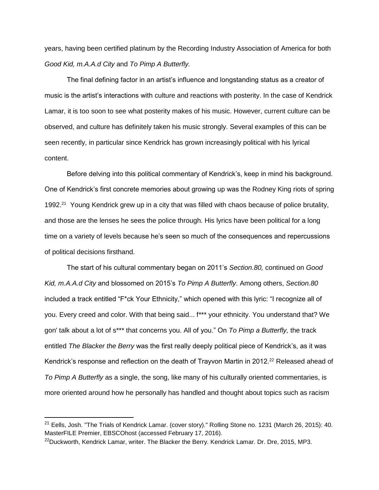years, having been certified platinum by the Recording Industry Association of America for both *Good Kid, m.A.A.d City* and *To Pimp A Butterfly.* 

The final defining factor in an artist's influence and longstanding status as a creator of music is the artist's interactions with culture and reactions with posterity. In the case of Kendrick Lamar, it is too soon to see what posterity makes of his music. However, current culture can be observed, and culture has definitely taken his music strongly. Several examples of this can be seen recently, in particular since Kendrick has grown increasingly political with his lyrical content.

Before delving into this political commentary of Kendrick's, keep in mind his background. One of Kendrick's first concrete memories about growing up was the Rodney King riots of spring 1992.<sup>21</sup> Young Kendrick grew up in a city that was filled with chaos because of police brutality, and those are the lenses he sees the police through. His lyrics have been political for a long time on a variety of levels because he's seen so much of the consequences and repercussions of political decisions firsthand.

The start of his cultural commentary began on 2011's *Section.80,* continued on *Good Kid, m.A.A.d City* and blossomed on 2015's *To Pimp A Butterfly*. Among others, *Section.80*  included a track entitled "F\*ck Your Ethnicity," which opened with this lyric: "I recognize all of you. Every creed and color. With that being said... f\*\*\* your ethnicity. You understand that? We gon' talk about a lot of s\*\*\* that concerns you. All of you." On *To Pimp a Butterfly,* the track entitled *The Blacker the Berry* was the first really deeply political piece of Kendrick's, as it was Kendrick's response and reflection on the death of Trayvon Martin in 2012.<sup>22</sup> Released ahead of *To Pimp A Butterfly* as a single, the song, like many of his culturally oriented commentaries, is more oriented around how he personally has handled and thought about topics such as racism

 $21$  Eells, Josh. "The Trials of Kendrick Lamar. (cover story)." Rolling Stone no. 1231 (March 26, 2015): 40. MasterFILE Premier, EBSCOhost (accessed February 17, 2016).

<sup>&</sup>lt;sup>22</sup>Duckworth, Kendrick Lamar, writer. The Blacker the Berry. Kendrick Lamar. Dr. Dre, 2015, MP3.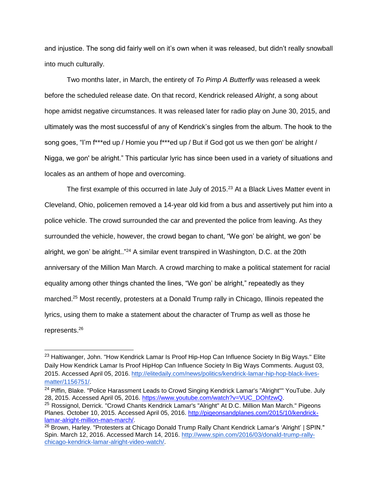and injustice. The song did fairly well on it's own when it was released, but didn't really snowball into much culturally.

Two months later, in March, the entirety of *To Pimp A Butterfly* was released a week before the scheduled release date. On that record, Kendrick released *Alright*, a song about hope amidst negative circumstances. It was released later for radio play on June 30, 2015, and ultimately was the most successful of any of Kendrick's singles from the album. The hook to the song goes, "I'm f\*\*\*ed up / Homie you f\*\*\*ed up / But if God got us we then gon' be alright / Nigga, we gon' be alright." This particular lyric has since been used in a variety of situations and locales as an anthem of hope and overcoming.

The first example of this occurred in late July of 2015.<sup>23</sup> At a Black Lives Matter event in Cleveland, Ohio, policemen removed a 14-year old kid from a bus and assertively put him into a police vehicle. The crowd surrounded the car and prevented the police from leaving. As they surrounded the vehicle, however, the crowd began to chant, "We gon' be alright, we gon' be alright, we gon' be alright.."<sup>24</sup> A similar event transpired in Washington, D.C. at the 20th anniversary of the Million Man March. A crowd marching to make a political statement for racial equality among other things chanted the lines, "We gon' be alright," repeatedly as they marched.<sup>25</sup> Most recently, protesters at a Donald Trump rally in Chicago, Illinois repeated the lyrics, using them to make a statement about the character of Trump as well as those he represents.<sup>26</sup>

<sup>&</sup>lt;sup>23</sup> Haltiwanger, John. "How Kendrick Lamar Is Proof Hip-Hop Can Influence Society In Big Ways." Elite Daily How Kendrick Lamar Is Proof HipHop Can Influence Society In Big Ways Comments. August 03, 2015. Accessed April 05, 2016. [http://elitedaily.com/news/politics/kendrick-lamar-hip-hop-black-lives](http://elitedaily.com/news/politics/kendrick-lamar-hip-hop-black-lives-matter/1156751/)[matter/1156751/.](http://elitedaily.com/news/politics/kendrick-lamar-hip-hop-black-lives-matter/1156751/)

<sup>&</sup>lt;sup>24</sup> Piffin, Blake. "Police Harassment Leads to Crowd Singing Kendrick Lamar's "Alright"" YouTube. July 28, 2015. Accessed April 05, 2016. [https://www.youtube.com/watch?v=VUC\\_DOhfzwQ.](https://www.youtube.com/watch?v=VUC_DOhfzwQ)

<sup>&</sup>lt;sup>25</sup> Rossignol, Derrick. "Crowd Chants Kendrick Lamar's "Alright" At D.C. Million Man March." Pigeons Planes. October 10, 2015. Accessed April 05, 2016. [http://pigeonsandplanes.com/2015/10/kendrick](http://pigeonsandplanes.com/2015/10/kendrick-lamar-alright-million-man-march/)[lamar-alright-million-man-march/.](http://pigeonsandplanes.com/2015/10/kendrick-lamar-alright-million-man-march/)

<sup>26</sup> Brown, Harley. "Protesters at Chicago Donald Trump Rally Chant Kendrick Lamar's 'Alright' | SPIN." Spin. March 12, 2016. Accessed March 14, 2016. [http://www.spin.com/2016/03/donald-trump-rally](http://www.spin.com/2016/03/donald-trump-rally-chicago-kendrick-lamar-alright-video-watch/)[chicago-kendrick-lamar-alright-video-watch/.](http://www.spin.com/2016/03/donald-trump-rally-chicago-kendrick-lamar-alright-video-watch/)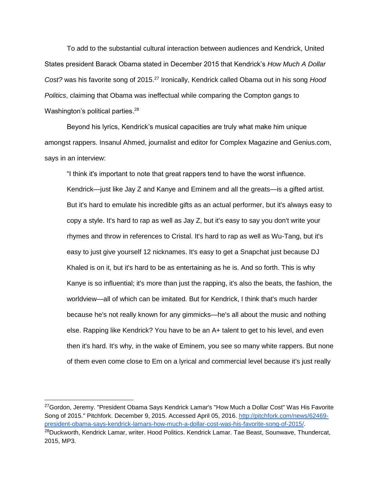To add to the substantial cultural interaction between audiences and Kendrick, United States president Barack Obama stated in December 2015 that Kendrick's *How Much A Dollar Cost?* was his favorite song of 2015.<sup>27</sup> Ironically, Kendrick called Obama out in his song *Hood Politics*, claiming that Obama was ineffectual while comparing the Compton gangs to Washington's political parties.<sup>28</sup>

Beyond his lyrics, Kendrick's musical capacities are truly what make him unique amongst rappers. Insanul Ahmed, journalist and editor for Complex Magazine and Genius.com, says in an interview:

"I think it's important to note that great rappers tend to have the worst influence. Kendrick—just like Jay Z and Kanye and Eminem and all the greats—is a gifted artist. But it's hard to emulate his incredible gifts as an actual performer, but it's always easy to copy a style. It's hard to rap as well as Jay Z, but it's easy to say you don't write your rhymes and throw in references to Cristal. It's hard to rap as well as Wu-Tang, but it's easy to just give yourself 12 nicknames. It's easy to get a Snapchat just because DJ Khaled is on it, but it's hard to be as entertaining as he is. And so forth. This is why Kanye is so influential; it's more than just the rapping, it's also the beats, the fashion, the worldview—all of which can be imitated. But for Kendrick, I think that's much harder because he's not really known for any gimmicks—he's all about the music and nothing else. Rapping like Kendrick? You have to be an A+ talent to get to his level, and even then it's hard. It's why, in the wake of Eminem, you see so many white rappers. But none of them even come close to Em on a lyrical and commercial level because it's just really

<sup>&</sup>lt;sup>27</sup>Gordon, Jeremy. "President Obama Says Kendrick Lamar's "How Much a Dollar Cost" Was His Favorite Song of 2015." Pitchfork. December 9, 2015. Accessed April 05, 2016. [http://pitchfork.com/news/62469](http://pitchfork.com/news/62469-president-obama-says-kendrick-lamars-how-much-a-dollar-cost-was-his-favorite-song-of-2015/) [president-obama-says-kendrick-lamars-how-much-a-dollar-cost-was-his-favorite-song-of-2015/.](http://pitchfork.com/news/62469-president-obama-says-kendrick-lamars-how-much-a-dollar-cost-was-his-favorite-song-of-2015/) <sup>28</sup>Duckworth, Kendrick Lamar, writer. Hood Politics. Kendrick Lamar. Tae Beast, Sounwave, Thundercat, 2015, MP3.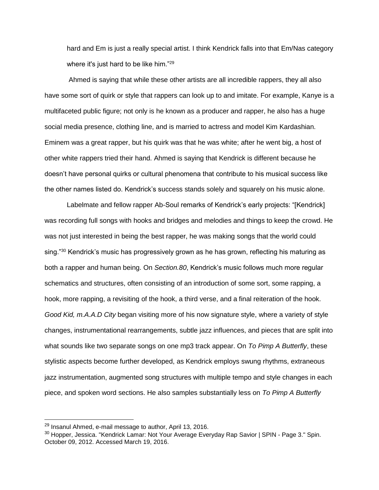hard and Em is just a really special artist. I think Kendrick falls into that Em/Nas category where it's just hard to be like him."<sup>29</sup>

Ahmed is saying that while these other artists are all incredible rappers, they all also have some sort of quirk or style that rappers can look up to and imitate. For example, Kanye is a multifaceted public figure; not only is he known as a producer and rapper, he also has a huge social media presence, clothing line, and is married to actress and model Kim Kardashian. Eminem was a great rapper, but his quirk was that he was white; after he went big, a host of other white rappers tried their hand. Ahmed is saying that Kendrick is different because he doesn't have personal quirks or cultural phenomena that contribute to his musical success like the other names listed do. Kendrick's success stands solely and squarely on his music alone.

Labelmate and fellow rapper Ab-Soul remarks of Kendrick's early projects: "[Kendrick] was recording full songs with hooks and bridges and melodies and things to keep the crowd. He was not just interested in being the best rapper, he was making songs that the world could sing."<sup>30</sup> Kendrick's music has progressively grown as he has grown, reflecting his maturing as both a rapper and human being. On *Section.80*, Kendrick's music follows much more regular schematics and structures, often consisting of an introduction of some sort, some rapping, a hook, more rapping, a revisiting of the hook, a third verse, and a final reiteration of the hook. *Good Kid, m.A.A.D City* began visiting more of his now signature style, where a variety of style changes, instrumentational rearrangements, subtle jazz influences, and pieces that are split into what sounds like two separate songs on one mp3 track appear. On *To Pimp A Butterfly*, these stylistic aspects become further developed, as Kendrick employs swung rhythms, extraneous jazz instrumentation, augmented song structures with multiple tempo and style changes in each piece, and spoken word sections. He also samples substantially less on *To Pimp A Butterfly*

<sup>29</sup> Insanul Ahmed, e-mail message to author, April 13, 2016.

<sup>&</sup>lt;sup>30</sup> Hopper, Jessica. "Kendrick Lamar: Not Your Average Everyday Rap Savior | SPIN - Page 3." Spin. October 09, 2012. Accessed March 19, 2016.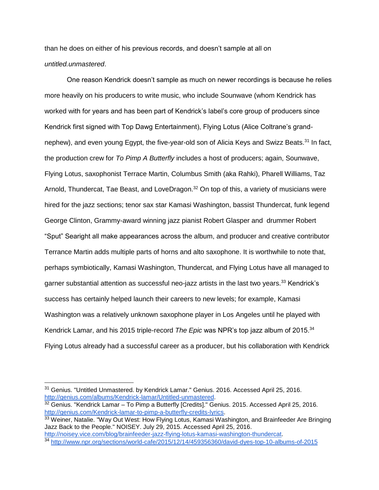than he does on either of his previous records, and doesn't sample at all on *untitled.unmastered*.

One reason Kendrick doesn't sample as much on newer recordings is because he relies more heavily on his producers to write music, who include Sounwave (whom Kendrick has worked with for years and has been part of Kendrick's label's core group of producers since Kendrick first signed with Top Dawg Entertainment), Flying Lotus (Alice Coltrane's grandnephew), and even young Egypt, the five-year-old son of Alicia Keys and Swizz Beats.<sup>31</sup> In fact, the production crew for *To Pimp A Butterfly* includes a host of producers; again, Sounwave, Flying Lotus, saxophonist Terrace Martin, Columbus Smith (aka Rahki), Pharell Williams, Taz Arnold, Thundercat, Tae Beast, and LoveDragon.<sup>32</sup> On top of this, a variety of musicians were hired for the jazz sections; tenor sax star Kamasi Washington, bassist Thundercat, funk legend George Clinton, Grammy-award winning jazz pianist Robert Glasper and drummer Robert "Sput" Searight all make appearances across the album, and producer and creative contributor Terrance Martin adds multiple parts of horns and alto saxophone. It is worthwhile to note that, perhaps symbiotically, Kamasi Washington, Thundercat, and Flying Lotus have all managed to garner substantial attention as successful neo-jazz artists in the last two years.<sup>33</sup> Kendrick's success has certainly helped launch their careers to new levels; for example, Kamasi Washington was a relatively unknown saxophone player in Los Angeles until he played with Kendrick Lamar, and his 2015 triple-record *The Epic* was NPR's top jazz album of 2015.<sup>34</sup> Flying Lotus already had a successful career as a producer, but his collaboration with Kendrick

<sup>31</sup> Genius. "Untitled Unmastered. by Kendrick Lamar." Genius. 2016. Accessed April 25, 2016. [http://genius.com/albums/Kendrick-lamar/Untitled-unmastered.](http://genius.com/albums/Kendrick-lamar/Untitled-unmastered)

<sup>32</sup> Genius. "Kendrick Lamar – To Pimp a Butterfly [Credits]." Genius. 2015. Accessed April 25, 2016. [http://genius.com/Kendrick-lamar-to-pimp-a-butterfly-credits-lyrics.](http://genius.com/Kendrick-lamar-to-pimp-a-butterfly-credits-lyrics)

<sup>&</sup>lt;sup>33</sup> Weiner, Natalie. "Way Out West: How Flying Lotus, Kamasi Washington, and Brainfeeder Are Bringing Jazz Back to the People." NOISEY. July 29, 2015. Accessed April 25, 2016.

[http://noisey.vice.com/blog/brainfeeder-jazz-flying-lotus-kamasi-washington-thundercat.](http://noisey.vice.com/blog/brainfeeder-jazz-flying-lotus-kamasi-washington-thundercat)

<sup>34</sup> <http://www.npr.org/sections/world-cafe/2015/12/14/459356360/david-dyes-top-10-albums-of-2015>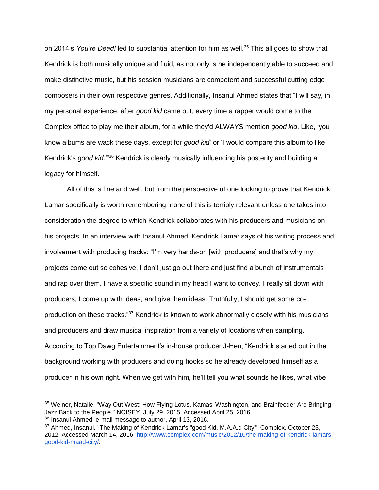on 2014's *You're Dead!* led to substantial attention for him as well.<sup>35</sup> This all goes to show that Kendrick is both musically unique and fluid, as not only is he independently able to succeed and make distinctive music, but his session musicians are competent and successful cutting edge composers in their own respective genres. Additionally, Insanul Ahmed states that "I will say, in my personal experience, after *good kid* came out, every time a rapper would come to the Complex office to play me their album, for a while they'd ALWAYS mention *good kid*. Like, 'you know albums are wack these days, except for *good kid*' or 'I would compare this album to like Kendrick's good kid."<sup>36</sup> Kendrick is clearly musically influencing his posterity and building a legacy for himself.

All of this is fine and well, but from the perspective of one looking to prove that Kendrick Lamar specifically is worth remembering, none of this is terribly relevant unless one takes into consideration the degree to which Kendrick collaborates with his producers and musicians on his projects. In an interview with Insanul Ahmed, Kendrick Lamar says of his writing process and involvement with producing tracks: "I'm very hands-on [with producers] and that's why my projects come out so cohesive. I don't just go out there and just find a bunch of instrumentals and rap over them. I have a specific sound in my head I want to convey. I really sit down with producers, I come up with ideas, and give them ideas. Truthfully, I should get some coproduction on these tracks."<sup>37</sup> Kendrick is known to work abnormally closely with his musicians and producers and draw musical inspiration from a variety of locations when sampling. According to Top Dawg Entertainment's in-house producer J-Hen, "Kendrick started out in the background working with producers and doing hooks so he already developed himself as a producer in his own right. When we get with him, he'll tell you what sounds he likes, what vibe

<sup>&</sup>lt;sup>35</sup> Weiner, Natalie. "Way Out West: How Flying Lotus, Kamasi Washington, and Brainfeeder Are Bringing Jazz Back to the People." NOISEY. July 29, 2015. Accessed April 25, 2016.

<sup>36</sup> Insanul Ahmed, e-mail message to author, April 13, 2016.

<sup>&</sup>lt;sup>37</sup> Ahmed, Insanul. "The Making of Kendrick Lamar's "good Kid, M.A.A.d City"" Complex. October 23, 2012. Accessed March 14, 2016. [http://www.complex.com/music/2012/10/the-making-of-kendrick-lamars](http://www.complex.com/music/2012/10/the-making-of-kendrick-lamars-good-kid-maad-city/)[good-kid-maad-city/.](http://www.complex.com/music/2012/10/the-making-of-kendrick-lamars-good-kid-maad-city/)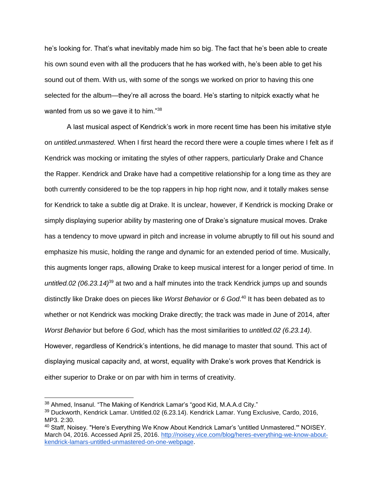he's looking for. That's what inevitably made him so big. The fact that he's been able to create his own sound even with all the producers that he has worked with, he's been able to get his sound out of them. With us, with some of the songs we worked on prior to having this one selected for the album—they're all across the board. He's starting to nitpick exactly what he wanted from us so we gave it to him."<sup>38</sup>

A last musical aspect of Kendrick's work in more recent time has been his imitative style on *untitled.unmastered*. When I first heard the record there were a couple times where I felt as if Kendrick was mocking or imitating the styles of other rappers, particularly Drake and Chance the Rapper. Kendrick and Drake have had a competitive relationship for a long time as they are both currently considered to be the top rappers in hip hop right now, and it totally makes sense for Kendrick to take a subtle dig at Drake. It is unclear, however, if Kendrick is mocking Drake or simply displaying superior ability by mastering one of Drake's signature musical moves. Drake has a tendency to move upward in pitch and increase in volume abruptly to fill out his sound and emphasize his music, holding the range and dynamic for an extended period of time. Musically, this augments longer raps, allowing Drake to keep musical interest for a longer period of time. In *untitled.02 (06.23.14)*<sup>39</sup> at two and a half minutes into the track Kendrick jumps up and sounds distinctly like Drake does on pieces like *Worst Behavior* or *6 God*. <sup>40</sup> It has been debated as to whether or not Kendrick was mocking Drake directly; the track was made in June of 2014, after *Worst Behavior* but before *6 God*, which has the most similarities to *untitled.02 (6.23.14)*. However, regardless of Kendrick's intentions, he did manage to master that sound. This act of displaying musical capacity and, at worst, equality with Drake's work proves that Kendrick is either superior to Drake or on par with him in terms of creativity.

<sup>&</sup>lt;sup>38</sup> Ahmed, Insanul. "The Making of Kendrick Lamar's "good Kid, M.A.A.d City."

<sup>39</sup> Duckworth, Kendrick Lamar. Untitled.02 (6.23.14). Kendrick Lamar. Yung Exclusive, Cardo, 2016, MP3. 2:30.

<sup>&</sup>lt;sup>40</sup> Staff, Noisey. "Here's Everything We Know About Kendrick Lamar's 'untitled Unmastered." NOISEY. March 04, 2016. Accessed April 25, 2016. [http://noisey.vice.com/blog/heres-everything-we-know-about](http://noisey.vice.com/blog/heres-everything-we-know-about-kendrick-lamars-untitled-unmastered-on-one-webpage)[kendrick-lamars-untitled-unmastered-on-one-webpage.](http://noisey.vice.com/blog/heres-everything-we-know-about-kendrick-lamars-untitled-unmastered-on-one-webpage)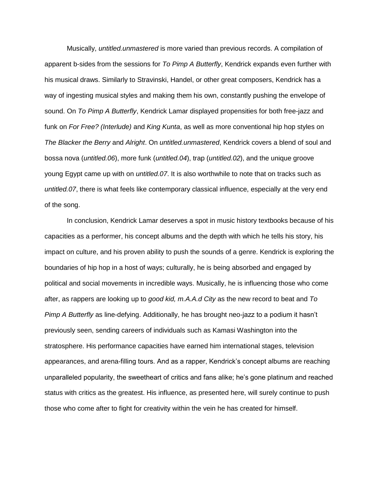Musically, *untitled.unmastered* is more varied than previous records. A compilation of apparent b-sides from the sessions for *To Pimp A Butterfly*, Kendrick expands even further with his musical draws. Similarly to Stravinski, Handel, or other great composers, Kendrick has a way of ingesting musical styles and making them his own, constantly pushing the envelope of sound. On *To Pimp A Butterfly*, Kendrick Lamar displayed propensities for both free-jazz and funk on *For Free? (Interlude)* and *King Kunta*, as well as more conventional hip hop styles on *The Blacker the Berry* and *Alright*. On *untitled.unmastered*, Kendrick covers a blend of soul and bossa nova (*untitled.06*), more funk (*untitled.04*), trap (*untitled.02*), and the unique groove young Egypt came up with on *untitled.07*. It is also worthwhile to note that on tracks such as *untitled.07*, there is what feels like contemporary classical influence, especially at the very end of the song.

In conclusion, Kendrick Lamar deserves a spot in music history textbooks because of his capacities as a performer, his concept albums and the depth with which he tells his story, his impact on culture, and his proven ability to push the sounds of a genre. Kendrick is exploring the boundaries of hip hop in a host of ways; culturally, he is being absorbed and engaged by political and social movements in incredible ways. Musically, he is influencing those who come after, as rappers are looking up to *good kid, m.A.A.d City* as the new record to beat and *To Pimp A Butterfly* as line-defying. Additionally, he has brought neo-jazz to a podium it hasn't previously seen, sending careers of individuals such as Kamasi Washington into the stratosphere. His performance capacities have earned him international stages, television appearances, and arena-filling tours. And as a rapper, Kendrick's concept albums are reaching unparalleled popularity, the sweetheart of critics and fans alike; he's gone platinum and reached status with critics as the greatest. His influence, as presented here, will surely continue to push those who come after to fight for creativity within the vein he has created for himself.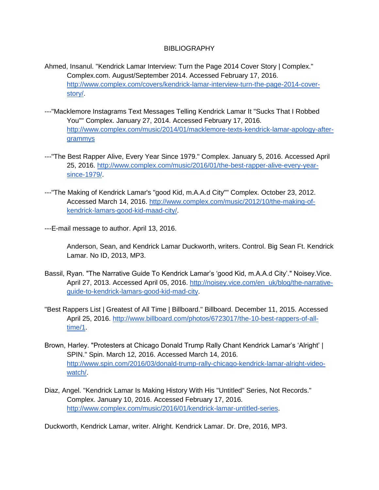## **BIBLIOGRAPHY**

- Ahmed, Insanul. "Kendrick Lamar Interview: Turn the Page 2014 Cover Story | Complex." Complex.com. August/September 2014. Accessed February 17, 2016. [http://www.complex.com/covers/kendrick-lamar-interview-turn-the-page-2014-cover](http://www.complex.com/covers/kendrick-lamar-interview-turn-the-page-2014-cover-story/)[story/.](http://www.complex.com/covers/kendrick-lamar-interview-turn-the-page-2014-cover-story/)
- ---"Macklemore Instagrams Text Messages Telling Kendrick Lamar It "Sucks That I Robbed You"" Complex. January 27, 2014. Accessed February 17, 2016. [http://www.complex.com/music/2014/01/macklemore-texts-kendrick-lamar-apology-after](http://www.complex.com/music/2014/01/macklemore-texts-kendrick-lamar-apology-after-grammys)[grammys](http://www.complex.com/music/2014/01/macklemore-texts-kendrick-lamar-apology-after-grammys)
- ---"The Best Rapper Alive, Every Year Since 1979." Complex. January 5, 2016. Accessed April 25, 2016. [http://www.complex.com/music/2016/01/the-best-rapper-alive-every-year](http://www.complex.com/music/2016/01/the-best-rapper-alive-every-year-since-1979/)[since-1979/.](http://www.complex.com/music/2016/01/the-best-rapper-alive-every-year-since-1979/)
- ---"The Making of Kendrick Lamar's "good Kid, m.A.A.d City"" Complex. October 23, 2012. Accessed March 14, 2016. [http://www.complex.com/music/2012/10/the-making-of](http://www.complex.com/music/2012/10/the-making-of-kendrick-lamars-good-kid-maad-city/)[kendrick-lamars-good-kid-maad-city/.](http://www.complex.com/music/2012/10/the-making-of-kendrick-lamars-good-kid-maad-city/)
- ---E-mail message to author. April 13, 2016.

Anderson, Sean, and Kendrick Lamar Duckworth, writers. Control. Big Sean Ft. Kendrick Lamar. No ID, 2013, MP3.

- Bassil, Ryan. "The Narrative Guide To Kendrick Lamar's 'good Kid, m.A.A.d City'." Noisey.Vice. April 27, 2013. Accessed April 05, 2016. [http://noisey.vice.com/en\\_uk/blog/the-narrative](http://noisey.vice.com/en_uk/blog/the-narrative-guide-to-kendrick-lamars-good-kid-mad-city)[guide-to-kendrick-lamars-good-kid-mad-city.](http://noisey.vice.com/en_uk/blog/the-narrative-guide-to-kendrick-lamars-good-kid-mad-city)
- "Best Rappers List | Greatest of All Time | Billboard." Billboard. December 11, 2015. Accessed April 25, 2016. [http://www.billboard.com/photos/6723017/the-10-best-rappers-of-all](http://www.billboard.com/photos/6723017/the-10-best-rappers-of-all-time/1)[time/1.](http://www.billboard.com/photos/6723017/the-10-best-rappers-of-all-time/1)
- Brown, Harley. "Protesters at Chicago Donald Trump Rally Chant Kendrick Lamar's 'Alright' | SPIN." Spin. March 12, 2016. Accessed March 14, 2016. [http://www.spin.com/2016/03/donald-trump-rally-chicago-kendrick-lamar-alright-video](http://www.spin.com/2016/03/donald-trump-rally-chicago-kendrick-lamar-alright-video-watch/)[watch/.](http://www.spin.com/2016/03/donald-trump-rally-chicago-kendrick-lamar-alright-video-watch/)
- Diaz, Angel. "Kendrick Lamar Is Making History With His "Untitled" Series, Not Records." Complex. January 10, 2016. Accessed February 17, 2016. [http://www.complex.com/music/2016/01/kendrick-lamar-untitled-series.](http://www.complex.com/music/2016/01/kendrick-lamar-untitled-series)

Duckworth, Kendrick Lamar, writer. Alright. Kendrick Lamar. Dr. Dre, 2016, MP3.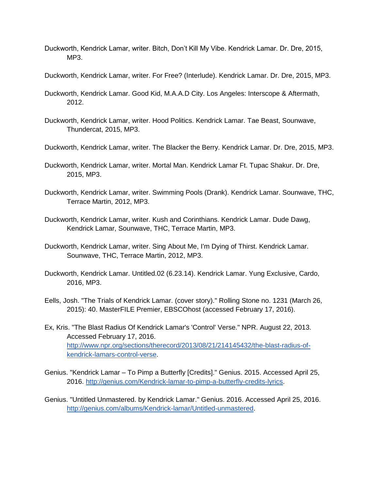- Duckworth, Kendrick Lamar, writer. Bitch, Don't Kill My Vibe. Kendrick Lamar. Dr. Dre, 2015, MP3.
- Duckworth, Kendrick Lamar, writer. For Free? (Interlude). Kendrick Lamar. Dr. Dre, 2015, MP3.
- Duckworth, Kendrick Lamar. Good Kid, M.A.A.D City. Los Angeles: Interscope & Aftermath, 2012.
- Duckworth, Kendrick Lamar, writer. Hood Politics. Kendrick Lamar. Tae Beast, Sounwave, Thundercat, 2015, MP3.
- Duckworth, Kendrick Lamar, writer. The Blacker the Berry. Kendrick Lamar. Dr. Dre, 2015, MP3.
- Duckworth, Kendrick Lamar, writer. Mortal Man. Kendrick Lamar Ft. Tupac Shakur. Dr. Dre, 2015, MP3.
- Duckworth, Kendrick Lamar, writer. Swimming Pools (Drank). Kendrick Lamar. Sounwave, THC, Terrace Martin, 2012, MP3.
- Duckworth, Kendrick Lamar, writer. Kush and Corinthians. Kendrick Lamar. Dude Dawg, Kendrick Lamar, Sounwave, THC, Terrace Martin, MP3.
- Duckworth, Kendrick Lamar, writer. Sing About Me, I'm Dying of Thirst. Kendrick Lamar. Sounwave, THC, Terrace Martin, 2012, MP3.
- Duckworth, Kendrick Lamar. Untitled.02 (6.23.14). Kendrick Lamar. Yung Exclusive, Cardo, 2016, MP3.
- Eells, Josh. "The Trials of Kendrick Lamar. (cover story)." Rolling Stone no. 1231 (March 26, 2015): 40. MasterFILE Premier, EBSCOhost (accessed February 17, 2016).
- Ex, Kris. "The Blast Radius Of Kendrick Lamar's 'Control' Verse." NPR. August 22, 2013. Accessed February 17, 2016. [http://www.npr.org/sections/therecord/2013/08/21/214145432/the-blast-radius-of](http://www.npr.org/sections/therecord/2013/08/21/214145432/the-blast-radius-of-kendrick-lamars-control-verse)[kendrick-lamars-control-verse.](http://www.npr.org/sections/therecord/2013/08/21/214145432/the-blast-radius-of-kendrick-lamars-control-verse)
- Genius. "Kendrick Lamar To Pimp a Butterfly [Credits]." Genius. 2015. Accessed April 25, 2016. [http://genius.com/Kendrick-lamar-to-pimp-a-butterfly-credits-lyrics.](http://genius.com/Kendrick-lamar-to-pimp-a-butterfly-credits-lyrics)
- Genius. "Untitled Unmastered. by Kendrick Lamar." Genius. 2016. Accessed April 25, 2016. [http://genius.com/albums/Kendrick-lamar/Untitled-unmastered.](http://genius.com/albums/Kendrick-lamar/Untitled-unmastered)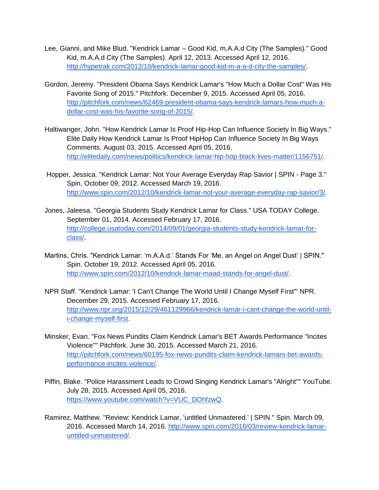- Lee, Gianni, and Mike Blud. "Kendrick Lamar Good Kid, m.A.A.d City (The Samples)." Good Kid, m.A.A.d City (The Samples). April 12, 2013. Accessed April 12, 2016. [http://hypetrak.com/2012/10/kendrick-lamar-good-kid-m-a-a-d-city-the-samples/.](http://hypetrak.com/2012/10/kendrick-lamar-good-kid-m-a-a-d-city-the-samples/)
- Gordon, Jeremy. "President Obama Says Kendrick Lamar's "How Much a Dollar Cost" Was His Favorite Song of 2015." Pitchfork. December 9, 2015. Accessed April 05, 2016. [http://pitchfork.com/news/62469-president-obama-says-kendrick-lamars-how-much-a](http://pitchfork.com/news/62469-president-obama-says-kendrick-lamars-how-much-a-dollar-cost-was-his-favorite-song-of-2015/)[dollar-cost-was-his-favorite-song-of-2015/.](http://pitchfork.com/news/62469-president-obama-says-kendrick-lamars-how-much-a-dollar-cost-was-his-favorite-song-of-2015/)
- Haltiwanger, John. "How Kendrick Lamar Is Proof Hip-Hop Can Influence Society In Big Ways." Elite Daily How Kendrick Lamar Is Proof HipHop Can Influence Society In Big Ways Comments. August 03, 2015. Accessed April 05, 2016. [http://elitedaily.com/news/politics/kendrick-lamar-hip-hop-black-lives-matter/1156751/.](http://elitedaily.com/news/politics/kendrick-lamar-hip-hop-black-lives-matter/1156751/)
- Hopper, Jessica. "Kendrick Lamar: Not Your Average Everyday Rap Savior | SPIN Page 3." Spin. October 09, 2012. Accessed March 19, 2016. [http://www.spin.com/2012/10/kendrick-lamar-not-your-average-everyday-rap-savior/3/.](http://www.spin.com/2012/10/kendrick-lamar-not-your-average-everyday-rap-savior/3/)
- Jones, Jaleesa. "Georgia Students Study Kendrick Lamar for Class." USA TODAY College. September 01, 2014. Accessed February 17, 2016. [http://college.usatoday.com/2014/09/01/georgia-students-study-kendrick-lamar-for](http://college.usatoday.com/2014/09/01/georgia-students-study-kendrick-lamar-for-class/)[class/.](http://college.usatoday.com/2014/09/01/georgia-students-study-kendrick-lamar-for-class/)
- Martins, Chris. "Kendrick Lamar: 'm.A.A.d.' Stands For 'Me, an Angel on Angel Dust' | SPIN." Spin. October 19, 2012. Accessed April 05, 2016. [http://www.spin.com/2012/10/kendrick-lamar-maad-stands-for-angel-dust/.](http://www.spin.com/2012/10/kendrick-lamar-maad-stands-for-angel-dust/)
- NPR Staff. "Kendrick Lamar: 'I Can't Change The World Until I Change Myself First'" NPR. December 29, 2015. Accessed February 17, 2016. [http://www.npr.org/2015/12/29/461129966/kendrick-lamar-i-cant-change-the-world-until](http://www.npr.org/2015/12/29/461129966/kendrick-lamar-i-cant-change-the-world-until-i-change-myself-first)[i-change-myself-first.](http://www.npr.org/2015/12/29/461129966/kendrick-lamar-i-cant-change-the-world-until-i-change-myself-first)
- Minsker, Evan. "Fox News Pundits Claim Kendrick Lamar's BET Awards Performance "Incites Violence"" Pitchfork. June 30, 2015. Accessed March 21, 2016. [http://pitchfork.com/news/60195-fox-news-pundits-claim-kendrick-lamars-bet-awards](http://pitchfork.com/news/60195-fox-news-pundits-claim-kendrick-lamars-bet-awards-performance-incites-violence/)[performance-incites-violence/.](http://pitchfork.com/news/60195-fox-news-pundits-claim-kendrick-lamars-bet-awards-performance-incites-violence/)
- Piffin, Blake. "Police Harassment Leads to Crowd Singing Kendrick Lamar's "Alright"" YouTube. July 28, 2015. Accessed April 05, 2016[.](https://www.youtube.com/watch?v=VUC_DOhfzwQ) [https://www.youtube.com/watch?v=VUC\\_DOhfzwQ.](https://www.youtube.com/watch?v=VUC_DOhfzwQ)
- Ramirez, Matthew. "Review: Kendrick Lamar, 'untitled Unmastered.' | SPIN." Spin. March 09, 2016. Accessed March 14, 2016. [http://www.spin.com/2016/03/review-kendrick-lamar](http://www.spin.com/2016/03/review-kendrick-lamar-untitled-unmastered/)[untitled-unmastered/.](http://www.spin.com/2016/03/review-kendrick-lamar-untitled-unmastered/)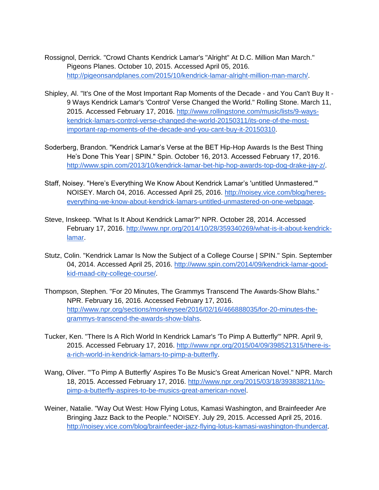- Rossignol, Derrick. "Crowd Chants Kendrick Lamar's "Alright" At D.C. Million Man March." Pigeons Planes. October 10, 2015. Accessed April 05, 2016. [http://pigeonsandplanes.com/2015/10/kendrick-lamar-alright-million-man-march/.](http://pigeonsandplanes.com/2015/10/kendrick-lamar-alright-million-man-march/)
- Shipley, Al. "It's One of the Most Important Rap Moments of the Decade and You Can't Buy It 9 Ways Kendrick Lamar's 'Control' Verse Changed the World." Rolling Stone. March 11, 2015. Accessed February 17, 2016. [http://www.rollingstone.com/music/lists/9-ways](http://www.rollingstone.com/music/lists/9-ways-kendrick-lamars-control-verse-changed-the-world-20150311/its-one-of-the-most-important-rap-moments-of-the-decade-and-you-cant-buy-it-20150310)[kendrick-lamars-control-verse-changed-the-world-20150311/its-one-of-the-most](http://www.rollingstone.com/music/lists/9-ways-kendrick-lamars-control-verse-changed-the-world-20150311/its-one-of-the-most-important-rap-moments-of-the-decade-and-you-cant-buy-it-20150310)[important-rap-moments-of-the-decade-and-you-cant-buy-it-20150310.](http://www.rollingstone.com/music/lists/9-ways-kendrick-lamars-control-verse-changed-the-world-20150311/its-one-of-the-most-important-rap-moments-of-the-decade-and-you-cant-buy-it-20150310)
- Soderberg, Brandon. "Kendrick Lamar's Verse at the BET Hip-Hop Awards Is the Best Thing He's Done This Year | SPIN." Spin. October 16, 2013. Accessed February 17, 2016. [http://www.spin.com/2013/10/kendrick-lamar-bet-hip-hop-awards-top-dog-drake-jay-z/.](http://www.spin.com/2013/10/kendrick-lamar-bet-hip-hop-awards-top-dog-drake-jay-z/)
- Staff, Noisey. "Here's Everything We Know About Kendrick Lamar's 'untitled Unmastered.'" NOISEY. March 04, 2016. Accessed April 25, 2016. [http://noisey.vice.com/blog/heres](http://noisey.vice.com/blog/heres-everything-we-know-about-kendrick-lamars-untitled-unmastered-on-one-webpage)[everything-we-know-about-kendrick-lamars-untitled-unmastered-on-one-webpage.](http://noisey.vice.com/blog/heres-everything-we-know-about-kendrick-lamars-untitled-unmastered-on-one-webpage)
- Steve, Inskeep. "What Is It About Kendrick Lamar?" NPR. October 28, 2014. Accessed February 17, 2016. [http://www.npr.org/2014/10/28/359340269/what-is-it-about-kendrick](http://www.npr.org/2014/10/28/359340269/what-is-it-about-kendrick-lamar)[lamar.](http://www.npr.org/2014/10/28/359340269/what-is-it-about-kendrick-lamar)
- Stutz, Colin. "Kendrick Lamar Is Now the Subject of a College Course | SPIN." Spin. September 04, 2014. Accessed April 25, 2016. [http://www.spin.com/2014/09/kendrick-lamar-good](http://www.spin.com/2014/09/kendrick-lamar-good-kid-maad-city-college-course/)[kid-maad-city-college-course/.](http://www.spin.com/2014/09/kendrick-lamar-good-kid-maad-city-college-course/)
- Thompson, Stephen. "For 20 Minutes, The Grammys Transcend The Awards-Show Blahs." NPR. February 16, 2016. Accessed February 17, 2016. [http://www.npr.org/sections/monkeysee/2016/02/16/466888035/for-20-minutes-the](http://www.npr.org/sections/monkeysee/2016/02/16/466888035/for-20-minutes-the-grammys-transcend-the-awards-show-blahs)[grammys-transcend-the-awards-show-blahs.](http://www.npr.org/sections/monkeysee/2016/02/16/466888035/for-20-minutes-the-grammys-transcend-the-awards-show-blahs)
- Tucker, Ken. "There Is A Rich World In Kendrick Lamar's 'To Pimp A Butterfly'" NPR. April 9, 2015. Accessed February 17, 2016. [http://www.npr.org/2015/04/09/398521315/there-is](http://www.npr.org/2015/04/09/398521315/there-is-a-rich-world-in-kendrick-lamars-to-pimp-a-butterfly)[a-rich-world-in-kendrick-lamars-to-pimp-a-butterfly.](http://www.npr.org/2015/04/09/398521315/there-is-a-rich-world-in-kendrick-lamars-to-pimp-a-butterfly)
- Wang, Oliver. "'To Pimp A Butterfly' Aspires To Be Music's Great American Novel." NPR. March 18, 2015. Accessed February 17, 2016. [http://www.npr.org/2015/03/18/393838211/to](http://www.npr.org/2015/03/18/393838211/to-pimp-a-butterfly-aspires-to-be-musics-great-american-novel)[pimp-a-butterfly-aspires-to-be-musics-great-american-novel.](http://www.npr.org/2015/03/18/393838211/to-pimp-a-butterfly-aspires-to-be-musics-great-american-novel)
- Weiner, Natalie. "Way Out West: How Flying Lotus, Kamasi Washington, and Brainfeeder Are Bringing Jazz Back to the People." NOISEY. July 29, 2015. Accessed April 25, 2016. [http://noisey.vice.com/blog/brainfeeder-jazz-flying-lotus-kamasi-washington-thundercat.](http://noisey.vice.com/blog/brainfeeder-jazz-flying-lotus-kamasi-washington-thundercat)